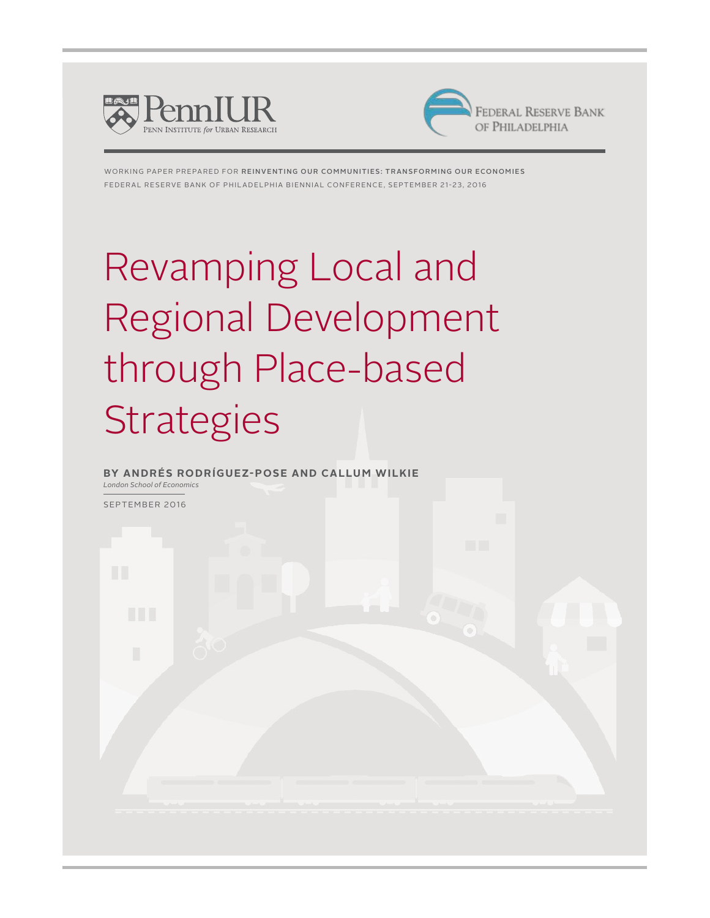



working paper prepared for Reinventing Our communities: Transforming our Economies Federal Reserve Bank of Philadelphia Biennial Conference, September 21-23, 2016

# Revamping Local and Regional Development through Place-based **Strategies**

**By Andrés Rodríguez-Pose and Callum Wilkie** *London School of Economics* 

September 2016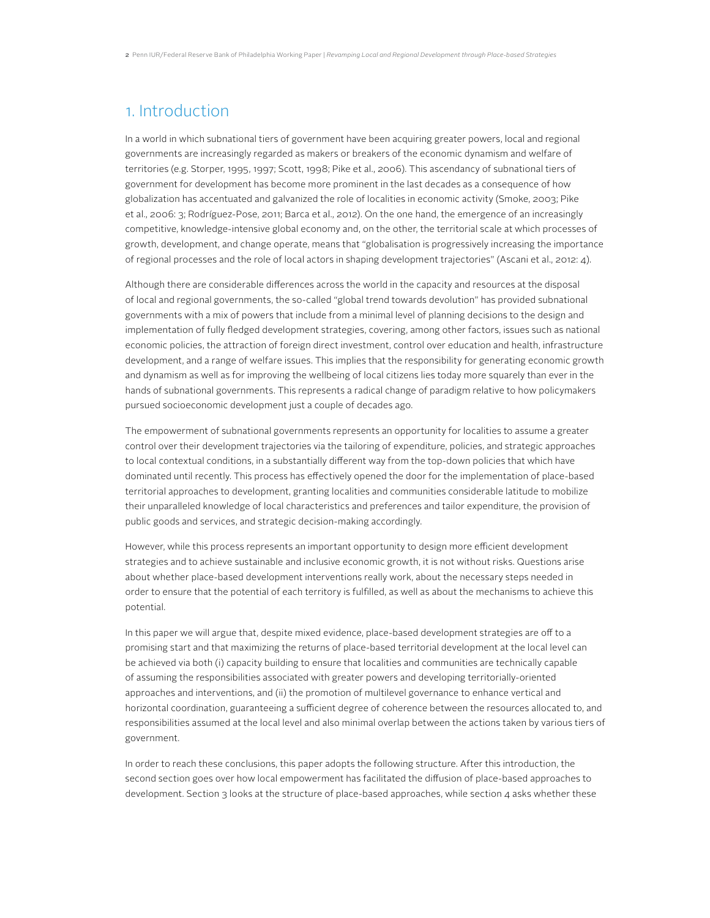### 1. Introduction

In a world in which subnational tiers of government have been acquiring greater powers, local and regional governments are increasingly regarded as makers or breakers of the economic dynamism and welfare of territories (e.g. Storper, 1995, 1997; Scott, 1998; Pike et al., 2006). This ascendancy of subnational tiers of government for development has become more prominent in the last decades as a consequence of how globalization has accentuated and galvanized the role of localities in economic activity (Smoke, 2003; Pike et al., 2006: 3; Rodríguez-Pose, 2011; Barca et al., 2012). On the one hand, the emergence of an increasingly competitive, knowledge-intensive global economy and, on the other, the territorial scale at which processes of growth, development, and change operate, means that "globalisation is progressively increasing the importance of regional processes and the role of local actors in shaping development trajectories" (Ascani et al., 2012: 4).

Although there are considerable differences across the world in the capacity and resources at the disposal of local and regional governments, the so-called "global trend towards devolution" has provided subnational governments with a mix of powers that include from a minimal level of planning decisions to the design and implementation of fully fledged development strategies, covering, among other factors, issues such as national economic policies, the attraction of foreign direct investment, control over education and health, infrastructure development, and a range of welfare issues. This implies that the responsibility for generating economic growth and dynamism as well as for improving the wellbeing of local citizens lies today more squarely than ever in the hands of subnational governments. This represents a radical change of paradigm relative to how policymakers pursued socioeconomic development just a couple of decades ago.

The empowerment of subnational governments represents an opportunity for localities to assume a greater control over their development trajectories via the tailoring of expenditure, policies, and strategic approaches to local contextual conditions, in a substantially different way from the top-down policies that which have dominated until recently. This process has effectively opened the door for the implementation of place-based territorial approaches to development, granting localities and communities considerable latitude to mobilize their unparalleled knowledge of local characteristics and preferences and tailor expenditure, the provision of public goods and services, and strategic decision-making accordingly.

However, while this process represents an important opportunity to design more efficient development strategies and to achieve sustainable and inclusive economic growth, it is not without risks. Questions arise about whether place-based development interventions really work, about the necessary steps needed in order to ensure that the potential of each territory is fulfilled, as well as about the mechanisms to achieve this potential.

In this paper we will argue that, despite mixed evidence, place-based development strategies are off to a promising start and that maximizing the returns of place-based territorial development at the local level can be achieved via both (i) capacity building to ensure that localities and communities are technically capable of assuming the responsibilities associated with greater powers and developing territorially-oriented approaches and interventions, and (ii) the promotion of multilevel governance to enhance vertical and horizontal coordination, guaranteeing a sufficient degree of coherence between the resources allocated to, and responsibilities assumed at the local level and also minimal overlap between the actions taken by various tiers of government.

In order to reach these conclusions, this paper adopts the following structure. After this introduction, the second section goes over how local empowerment has facilitated the diffusion of place-based approaches to development. Section 3 looks at the structure of place-based approaches, while section 4 asks whether these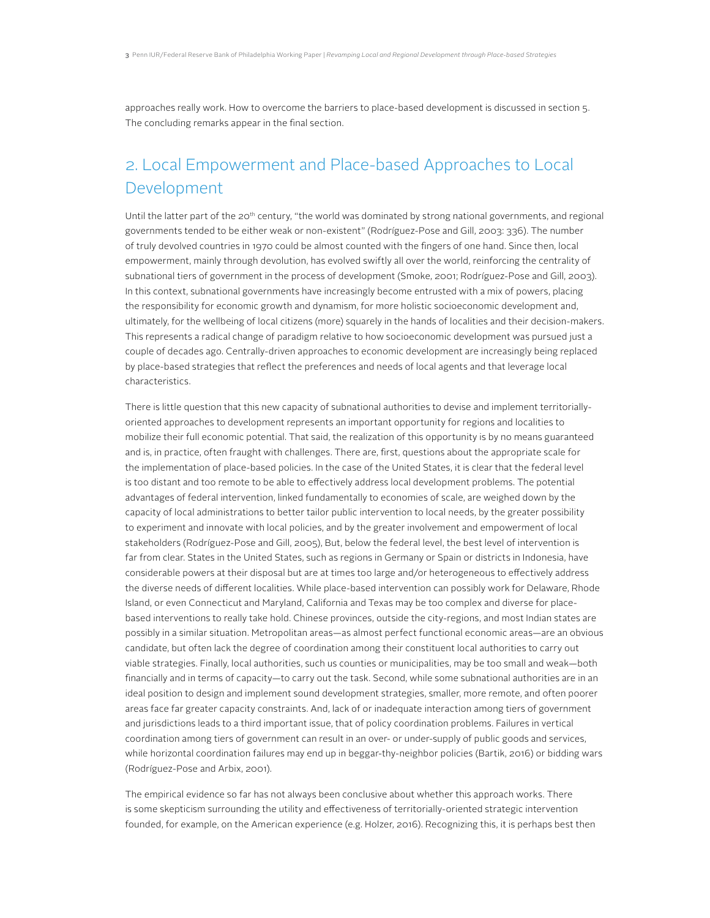approaches really work. How to overcome the barriers to place-based development is discussed in section 5. The concluding remarks appear in the final section.

# 2. Local Empowerment and Place-based Approaches to Local Development

Until the latter part of the 20<sup>th</sup> century, "the world was dominated by strong national governments, and regional governments tended to be either weak or non-existent" (Rodríguez-Pose and Gill, 2003: 336). The number of truly devolved countries in 1970 could be almost counted with the fingers of one hand. Since then, local empowerment, mainly through devolution, has evolved swiftly all over the world, reinforcing the centrality of subnational tiers of government in the process of development (Smoke, 2001; Rodríguez-Pose and Gill, 2003). In this context, subnational governments have increasingly become entrusted with a mix of powers, placing the responsibility for economic growth and dynamism, for more holistic socioeconomic development and, ultimately, for the wellbeing of local citizens (more) squarely in the hands of localities and their decision-makers. This represents a radical change of paradigm relative to how socioeconomic development was pursued just a couple of decades ago. Centrally-driven approaches to economic development are increasingly being replaced by place-based strategies that reflect the preferences and needs of local agents and that leverage local characteristics.

There is little question that this new capacity of subnational authorities to devise and implement territoriallyoriented approaches to development represents an important opportunity for regions and localities to mobilize their full economic potential. That said, the realization of this opportunity is by no means guaranteed and is, in practice, often fraught with challenges. There are, first, questions about the appropriate scale for the implementation of place-based policies. In the case of the United States, it is clear that the federal level is too distant and too remote to be able to effectively address local development problems. The potential advantages of federal intervention, linked fundamentally to economies of scale, are weighed down by the capacity of local administrations to better tailor public intervention to local needs, by the greater possibility to experiment and innovate with local policies, and by the greater involvement and empowerment of local stakeholders (Rodríguez-Pose and Gill, 2005), But, below the federal level, the best level of intervention is far from clear. States in the United States, such as regions in Germany or Spain or districts in Indonesia, have considerable powers at their disposal but are at times too large and/or heterogeneous to effectively address the diverse needs of different localities. While place-based intervention can possibly work for Delaware, Rhode Island, or even Connecticut and Maryland, California and Texas may be too complex and diverse for placebased interventions to really take hold. Chinese provinces, outside the city-regions, and most Indian states are possibly in a similar situation. Metropolitan areas—as almost perfect functional economic areas—are an obvious candidate, but often lack the degree of coordination among their constituent local authorities to carry out viable strategies. Finally, local authorities, such us counties or municipalities, may be too small and weak—both financially and in terms of capacity—to carry out the task. Second, while some subnational authorities are in an ideal position to design and implement sound development strategies, smaller, more remote, and often poorer areas face far greater capacity constraints. And, lack of or inadequate interaction among tiers of government and jurisdictions leads to a third important issue, that of policy coordination problems. Failures in vertical coordination among tiers of government can result in an over- or under-supply of public goods and services, while horizontal coordination failures may end up in beggar-thy-neighbor policies (Bartik, 2016) or bidding wars (Rodríguez-Pose and Arbix, 2001).

The empirical evidence so far has not always been conclusive about whether this approach works. There is some skepticism surrounding the utility and effectiveness of territorially-oriented strategic intervention founded, for example, on the American experience (e.g. Holzer, 2016). Recognizing this, it is perhaps best then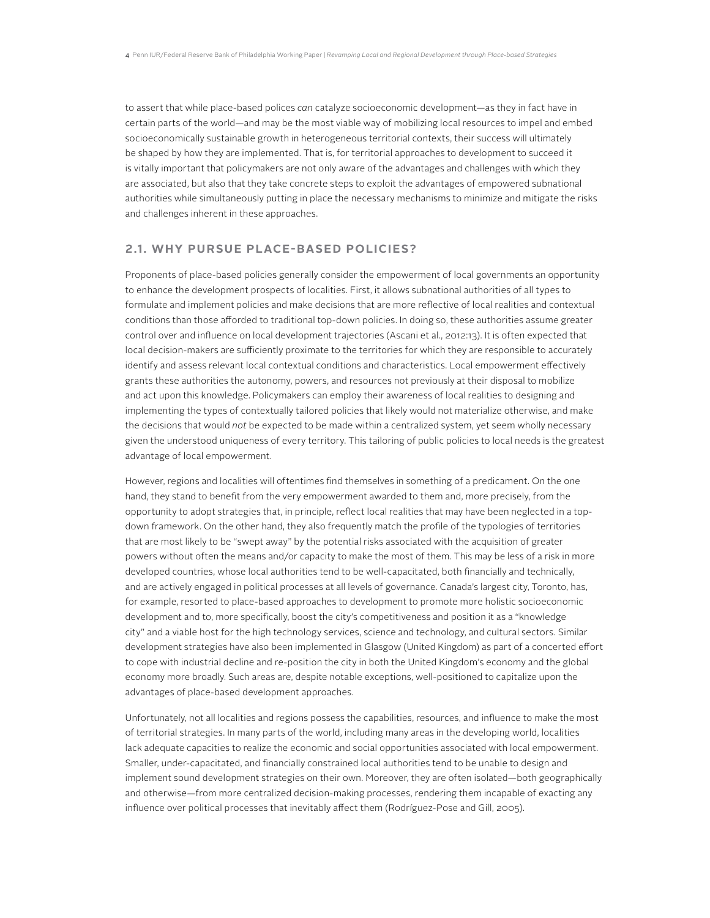to assert that while place-based polices *can* catalyze socioeconomic development—as they in fact have in certain parts of the world—and may be the most viable way of mobilizing local resources to impel and embed socioeconomically sustainable growth in heterogeneous territorial contexts, their success will ultimately be shaped by how they are implemented. That is, for territorial approaches to development to succeed it is vitally important that policymakers are not only aware of the advantages and challenges with which they are associated, but also that they take concrete steps to exploit the advantages of empowered subnational authorities while simultaneously putting in place the necessary mechanisms to minimize and mitigate the risks and challenges inherent in these approaches.

#### **2.1. Why Pursue Place-based Policies?**

Proponents of place-based policies generally consider the empowerment of local governments an opportunity to enhance the development prospects of localities. First, it allows subnational authorities of all types to formulate and implement policies and make decisions that are more reflective of local realities and contextual conditions than those afforded to traditional top-down policies. In doing so, these authorities assume greater control over and influence on local development trajectories (Ascani et al., 2012:13). It is often expected that local decision-makers are sufficiently proximate to the territories for which they are responsible to accurately identify and assess relevant local contextual conditions and characteristics. Local empowerment effectively grants these authorities the autonomy, powers, and resources not previously at their disposal to mobilize and act upon this knowledge. Policymakers can employ their awareness of local realities to designing and implementing the types of contextually tailored policies that likely would not materialize otherwise, and make the decisions that would *not* be expected to be made within a centralized system, yet seem wholly necessary given the understood uniqueness of every territory. This tailoring of public policies to local needs is the greatest advantage of local empowerment.

However, regions and localities will oftentimes find themselves in something of a predicament. On the one hand, they stand to benefit from the very empowerment awarded to them and, more precisely, from the opportunity to adopt strategies that, in principle, reflect local realities that may have been neglected in a topdown framework. On the other hand, they also frequently match the profile of the typologies of territories that are most likely to be "swept away" by the potential risks associated with the acquisition of greater powers without often the means and/or capacity to make the most of them. This may be less of a risk in more developed countries, whose local authorities tend to be well-capacitated, both financially and technically, and are actively engaged in political processes at all levels of governance. Canada's largest city, Toronto, has, for example, resorted to place-based approaches to development to promote more holistic socioeconomic development and to, more specifically, boost the city's competitiveness and position it as a "knowledge city" and a viable host for the high technology services, science and technology, and cultural sectors. Similar development strategies have also been implemented in Glasgow (United Kingdom) as part of a concerted effort to cope with industrial decline and re-position the city in both the United Kingdom's economy and the global economy more broadly. Such areas are, despite notable exceptions, well-positioned to capitalize upon the advantages of place-based development approaches.

Unfortunately, not all localities and regions possess the capabilities, resources, and influence to make the most of territorial strategies. In many parts of the world, including many areas in the developing world, localities lack adequate capacities to realize the economic and social opportunities associated with local empowerment. Smaller, under-capacitated, and financially constrained local authorities tend to be unable to design and implement sound development strategies on their own. Moreover, they are often isolated—both geographically and otherwise—from more centralized decision-making processes, rendering them incapable of exacting any influence over political processes that inevitably affect them (Rodríguez-Pose and Gill, 2005).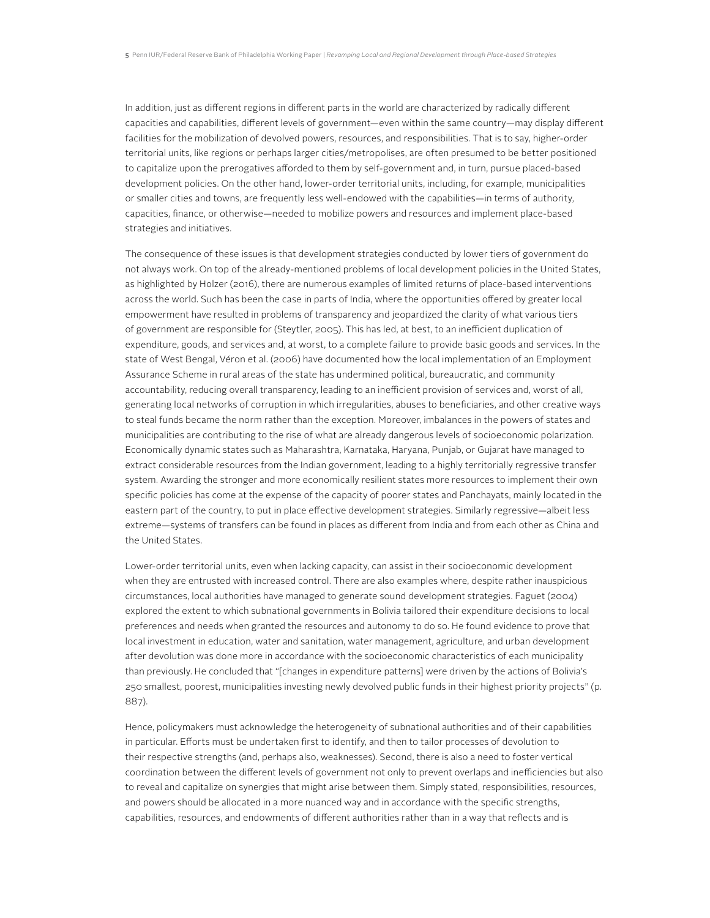In addition, just as different regions in different parts in the world are characterized by radically different capacities and capabilities, different levels of government—even within the same country—may display different facilities for the mobilization of devolved powers, resources, and responsibilities. That is to say, higher-order territorial units, like regions or perhaps larger cities/metropolises, are often presumed to be better positioned to capitalize upon the prerogatives afforded to them by self-government and, in turn, pursue placed-based development policies. On the other hand, lower-order territorial units, including, for example, municipalities or smaller cities and towns, are frequently less well-endowed with the capabilities—in terms of authority, capacities, finance, or otherwise—needed to mobilize powers and resources and implement place-based strategies and initiatives.

The consequence of these issues is that development strategies conducted by lower tiers of government do not always work. On top of the already-mentioned problems of local development policies in the United States, as highlighted by Holzer (2016), there are numerous examples of limited returns of place-based interventions across the world. Such has been the case in parts of India, where the opportunities offered by greater local empowerment have resulted in problems of transparency and jeopardized the clarity of what various tiers of government are responsible for (Steytler, 2005). This has led, at best, to an inefficient duplication of expenditure, goods, and services and, at worst, to a complete failure to provide basic goods and services. In the state of West Bengal, Véron et al. (2006) have documented how the local implementation of an Employment Assurance Scheme in rural areas of the state has undermined political, bureaucratic, and community accountability, reducing overall transparency, leading to an inefficient provision of services and, worst of all, generating local networks of corruption in which irregularities, abuses to beneficiaries, and other creative ways to steal funds became the norm rather than the exception. Moreover, imbalances in the powers of states and municipalities are contributing to the rise of what are already dangerous levels of socioeconomic polarization. Economically dynamic states such as Maharashtra, Karnataka, Haryana, Punjab, or Gujarat have managed to extract considerable resources from the Indian government, leading to a highly territorially regressive transfer system. Awarding the stronger and more economically resilient states more resources to implement their own specific policies has come at the expense of the capacity of poorer states and Panchayats, mainly located in the eastern part of the country, to put in place effective development strategies. Similarly regressive—albeit less extreme—systems of transfers can be found in places as different from India and from each other as China and the United States.

Lower-order territorial units, even when lacking capacity, can assist in their socioeconomic development when they are entrusted with increased control. There are also examples where, despite rather inauspicious circumstances, local authorities have managed to generate sound development strategies. Faguet (2004) explored the extent to which subnational governments in Bolivia tailored their expenditure decisions to local preferences and needs when granted the resources and autonomy to do so. He found evidence to prove that local investment in education, water and sanitation, water management, agriculture, and urban development after devolution was done more in accordance with the socioeconomic characteristics of each municipality than previously. He concluded that "[changes in expenditure patterns] were driven by the actions of Bolivia's 250 smallest, poorest, municipalities investing newly devolved public funds in their highest priority projects" (p. 887).

Hence, policymakers must acknowledge the heterogeneity of subnational authorities and of their capabilities in particular. Efforts must be undertaken first to identify, and then to tailor processes of devolution to their respective strengths (and, perhaps also, weaknesses). Second, there is also a need to foster vertical coordination between the different levels of government not only to prevent overlaps and inefficiencies but also to reveal and capitalize on synergies that might arise between them. Simply stated, responsibilities, resources, and powers should be allocated in a more nuanced way and in accordance with the specific strengths, capabilities, resources, and endowments of different authorities rather than in a way that reflects and is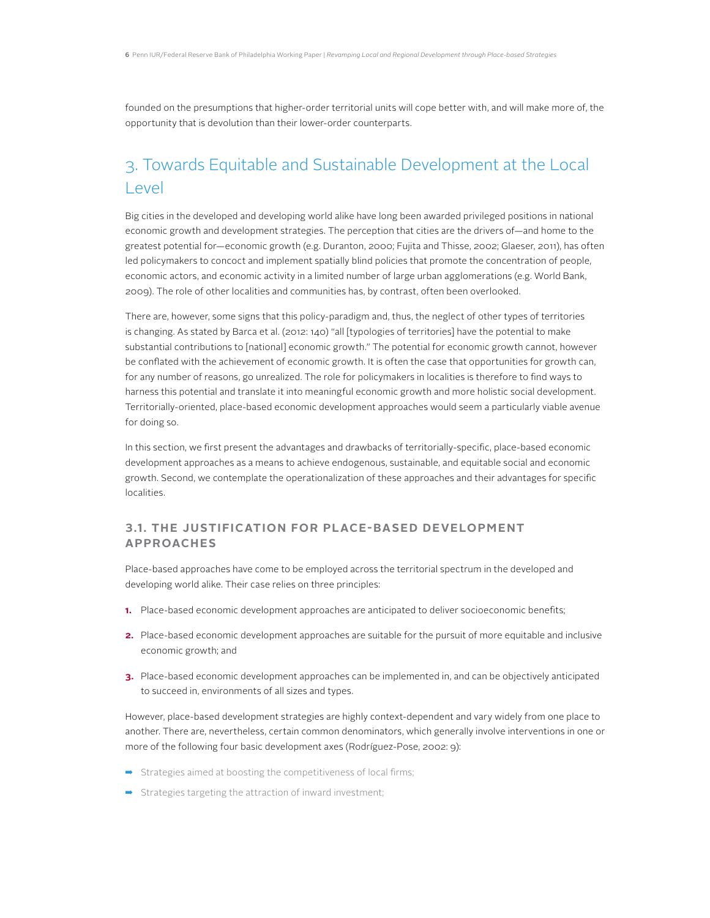founded on the presumptions that higher-order territorial units will cope better with, and will make more of, the opportunity that is devolution than their lower-order counterparts.

# 3. Towards Equitable and Sustainable Development at the Local Level

Big cities in the developed and developing world alike have long been awarded privileged positions in national economic growth and development strategies. The perception that cities are the drivers of—and home to the greatest potential for—economic growth (e.g. Duranton, 2000; Fujita and Thisse, 2002; Glaeser, 2011), has often led policymakers to concoct and implement spatially blind policies that promote the concentration of people, economic actors, and economic activity in a limited number of large urban agglomerations (e.g. World Bank, 2009). The role of other localities and communities has, by contrast, often been overlooked.

There are, however, some signs that this policy-paradigm and, thus, the neglect of other types of territories is changing. As stated by Barca et al. (2012: 140) "all [typologies of territories] have the potential to make substantial contributions to [national] economic growth." The potential for economic growth cannot, however be conflated with the achievement of economic growth. It is often the case that opportunities for growth can, for any number of reasons, go unrealized. The role for policymakers in localities is therefore to find ways to harness this potential and translate it into meaningful economic growth and more holistic social development. Territorially-oriented, place-based economic development approaches would seem a particularly viable avenue for doing so.

In this section, we first present the advantages and drawbacks of territorially-specific, place-based economic development approaches as a means to achieve endogenous, sustainable, and equitable social and economic growth. Second, we contemplate the operationalization of these approaches and their advantages for specific localities.

#### **3.1. The Justification for Place-based Development Approaches**

Place-based approaches have come to be employed across the territorial spectrum in the developed and developing world alike. Their case relies on three principles:

- **1.** Place-based economic development approaches are anticipated to deliver socioeconomic benefits;
- **2.** Place-based economic development approaches are suitable for the pursuit of more equitable and inclusive economic growth; and
- **3.** Place-based economic development approaches can be implemented in, and can be objectively anticipated to succeed in, environments of all sizes and types.

However, place-based development strategies are highly context-dependent and vary widely from one place to another. There are, nevertheless, certain common denominators, which generally involve interventions in one or more of the following four basic development axes (Rodríguez-Pose, 2002: 9):

- ➡ Strategies aimed at boosting the competitiveness of local firms;
- $\rightarrow$  Strategies targeting the attraction of inward investment;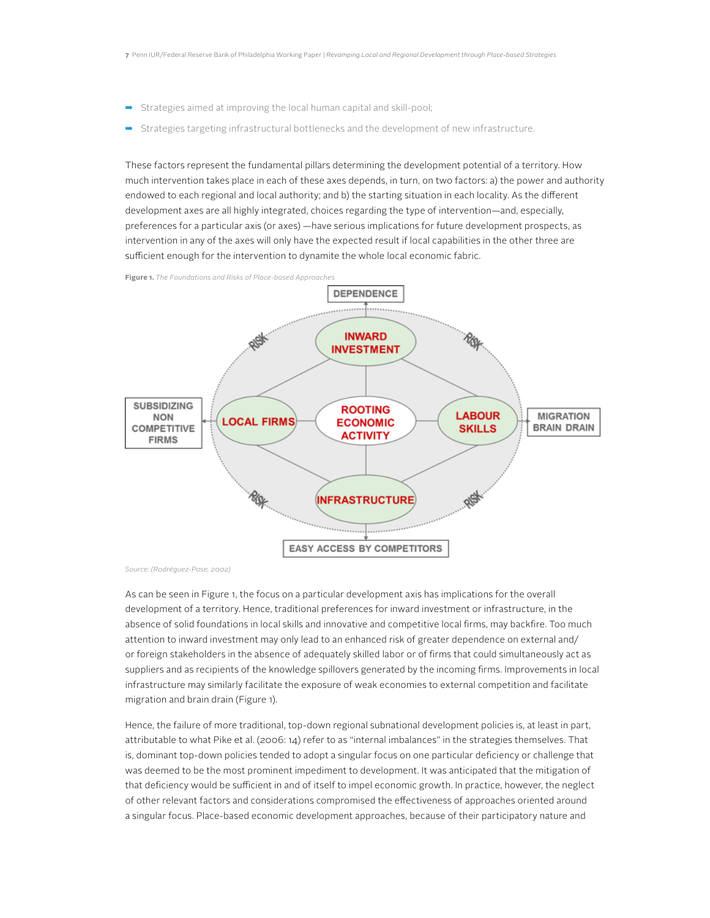- ➡ Strategies aimed at improving the local human capital and skill-pool;
- Strategies targeting infrastructural bottlenecks and the development of new infrastructure.

These factors represent the fundamental pillars determining the development potential of a territory. How much intervention takes place in each of these axes depends, in turn, on two factors: a) the power and authority endowed to each regional and local authority; and b) the starting situation in each locality. As the different development axes are all highly integrated, choices regarding the type of intervention—and, especially, preferences for a particular axis (or axes) —have serious implications for future development prospects, as intervention in any of the axes will only have the expected result if local capabilities in the other three are sufficient enough for the intervention to dynamite the whole local economic fabric.

**Figure 1.** *The Foundations and Risks of Place-based Approaches*



*Source: (Rodréguez-Pose, 2002)*

As can be seen in Figure 1, the focus on a particular development axis has implications for the overall development of a territory. Hence, traditional preferences for inward investment or infrastructure, in the absence of solid foundations in local skills and innovative and competitive local firms, may backfire. Too much attention to inward investment may only lead to an enhanced risk of greater dependence on external and/ or foreign stakeholders in the absence of adequately skilled labor or of firms that could simultaneously act as suppliers and as recipients of the knowledge spillovers generated by the incoming firms. Improvements in local infrastructure may similarly facilitate the exposure of weak economies to external competition and facilitate migration and brain drain (Figure 1).

Hence, the failure of more traditional, top-down regional subnational development policies is, at least in part, attributable to what Pike et al. (2006: 14) refer to as "internal imbalances" in the strategies themselves. That is, dominant top-down policies tended to adopt a singular focus on one particular deficiency or challenge that was deemed to be the most prominent impediment to development. It was anticipated that the mitigation of that deficiency would be sufficient in and of itself to impel economic growth. In practice, however, the neglect of other relevant factors and considerations compromised the effectiveness of approaches oriented around a singular focus. Place-based economic development approaches, because of their participatory nature and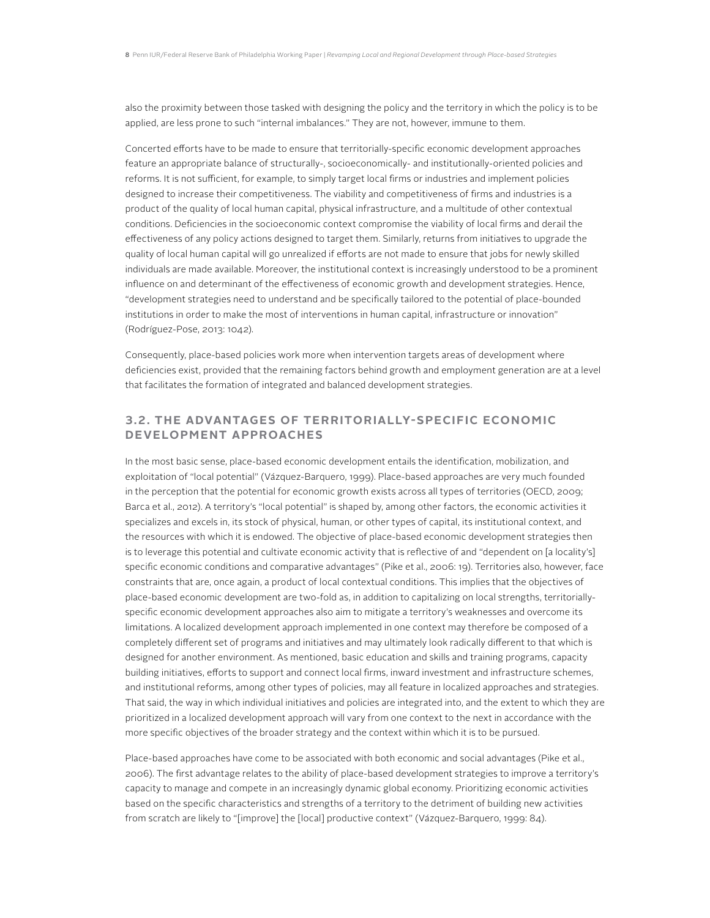also the proximity between those tasked with designing the policy and the territory in which the policy is to be applied, are less prone to such "internal imbalances." They are not, however, immune to them.

Concerted efforts have to be made to ensure that territorially-specific economic development approaches feature an appropriate balance of structurally-, socioeconomically- and institutionally-oriented policies and reforms. It is not sufficient, for example, to simply target local firms or industries and implement policies designed to increase their competitiveness. The viability and competitiveness of firms and industries is a product of the quality of local human capital, physical infrastructure, and a multitude of other contextual conditions. Deficiencies in the socioeconomic context compromise the viability of local firms and derail the effectiveness of any policy actions designed to target them. Similarly, returns from initiatives to upgrade the quality of local human capital will go unrealized if efforts are not made to ensure that jobs for newly skilled individuals are made available. Moreover, the institutional context is increasingly understood to be a prominent influence on and determinant of the effectiveness of economic growth and development strategies. Hence, "development strategies need to understand and be specifically tailored to the potential of place-bounded institutions in order to make the most of interventions in human capital, infrastructure or innovation" (Rodríguez-Pose, 2013: 1042).

Consequently, place-based policies work more when intervention targets areas of development where deficiencies exist, provided that the remaining factors behind growth and employment generation are at a level that facilitates the formation of integrated and balanced development strategies.

#### **3.2. The Advantages of Territorially-specific Econom ic Development Approaches**

In the most basic sense, place-based economic development entails the identification, mobilization, and exploitation of "local potential" (Vázquez-Barquero, 1999). Place-based approaches are very much founded in the perception that the potential for economic growth exists across all types of territories (OECD, 2009; Barca et al., 2012). A territory's "local potential" is shaped by, among other factors, the economic activities it specializes and excels in, its stock of physical, human, or other types of capital, its institutional context, and the resources with which it is endowed. The objective of place-based economic development strategies then is to leverage this potential and cultivate economic activity that is reflective of and "dependent on [a locality's] specific economic conditions and comparative advantages" (Pike et al., 2006: 19). Territories also, however, face constraints that are, once again, a product of local contextual conditions. This implies that the objectives of place-based economic development are two-fold as, in addition to capitalizing on local strengths, territoriallyspecific economic development approaches also aim to mitigate a territory's weaknesses and overcome its limitations. A localized development approach implemented in one context may therefore be composed of a completely different set of programs and initiatives and may ultimately look radically different to that which is designed for another environment. As mentioned, basic education and skills and training programs, capacity building initiatives, efforts to support and connect local firms, inward investment and infrastructure schemes, and institutional reforms, among other types of policies, may all feature in localized approaches and strategies. That said, the way in which individual initiatives and policies are integrated into, and the extent to which they are prioritized in a localized development approach will vary from one context to the next in accordance with the more specific objectives of the broader strategy and the context within which it is to be pursued.

Place-based approaches have come to be associated with both economic and social advantages (Pike et al., 2006). The first advantage relates to the ability of place-based development strategies to improve a territory's capacity to manage and compete in an increasingly dynamic global economy. Prioritizing economic activities based on the specific characteristics and strengths of a territory to the detriment of building new activities from scratch are likely to "[improve] the [local] productive context" (Vázquez-Barquero, 1999: 84).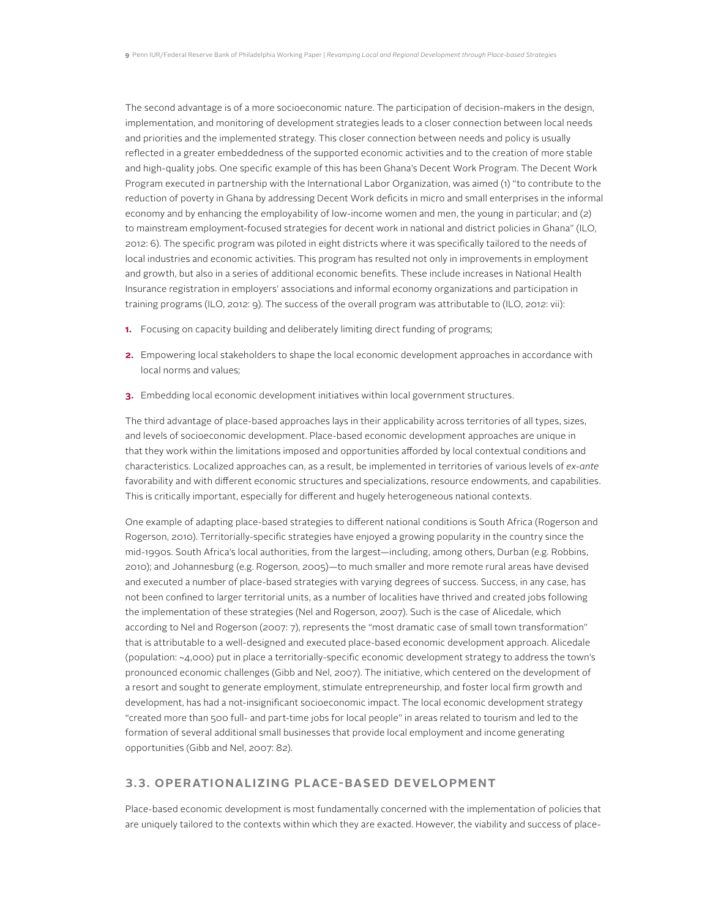The second advantage is of a more socioeconomic nature. The participation of decision-makers in the design, implementation, and monitoring of development strategies leads to a closer connection between local needs and priorities and the implemented strategy. This closer connection between needs and policy is usually reflected in a greater embeddedness of the supported economic activities and to the creation of more stable and high-quality jobs. One specific example of this has been Ghana's Decent Work Program. The Decent Work Program executed in partnership with the International Labor Organization, was aimed (1) "to contribute to the reduction of poverty in Ghana by addressing Decent Work deficits in micro and small enterprises in the informal economy and by enhancing the employability of low-income women and men, the young in particular; and (2) to mainstream employment-focused strategies for decent work in national and district policies in Ghana" (ILO, 2012: 6). The specific program was piloted in eight districts where it was specifically tailored to the needs of local industries and economic activities. This program has resulted not only in improvements in employment and growth, but also in a series of additional economic benefits. These include increases in National Health Insurance registration in employers' associations and informal economy organizations and participation in training programs (ILO, 2012: 9). The success of the overall program was attributable to (ILO, 2012: vii):

- **1.** Focusing on capacity building and deliberately limiting direct funding of programs;
- **2.** Empowering local stakeholders to shape the local economic development approaches in accordance with local norms and values;
- **3.** Embedding local economic development initiatives within local government structures.

The third advantage of place-based approaches lays in their applicability across territories of all types, sizes, and levels of socioeconomic development. Place-based economic development approaches are unique in that they work within the limitations imposed and opportunities afforded by local contextual conditions and characteristics. Localized approaches can, as a result, be implemented in territories of various levels of *ex-ante*  favorability and with different economic structures and specializations, resource endowments, and capabilities. This is critically important, especially for different and hugely heterogeneous national contexts.

One example of adapting place-based strategies to different national conditions is South Africa (Rogerson and Rogerson, 2010). Territorially-specific strategies have enjoyed a growing popularity in the country since the mid-1990s. South Africa's local authorities, from the largest—including, among others, Durban (e.g. Robbins, 2010); and Johannesburg (e.g. Rogerson, 2005)—to much smaller and more remote rural areas have devised and executed a number of place-based strategies with varying degrees of success. Success, in any case, has not been confined to larger territorial units, as a number of localities have thrived and created jobs following the implementation of these strategies (Nel and Rogerson, 2007). Such is the case of Alicedale, which according to Nel and Rogerson (2007: 7), represents the "most dramatic case of small town transformation" that is attributable to a well-designed and executed place-based economic development approach. Alicedale (population: ~4,000) put in place a territorially-specific economic development strategy to address the town's pronounced economic challenges (Gibb and Nel, 2007). The initiative, which centered on the development of a resort and sought to generate employment, stimulate entrepreneurship, and foster local firm growth and development, has had a not-insignificant socioeconomic impact. The local economic development strategy "created more than 500 full- and part-time jobs for local people" in areas related to tourism and led to the formation of several additional small businesses that provide local employment and income generating opportunities (Gibb and Nel, 2007: 82).

#### **3.3. Operationalizing Place-based Development**

Place-based economic development is most fundamentally concerned with the implementation of policies that are uniquely tailored to the contexts within which they are exacted. However, the viability and success of place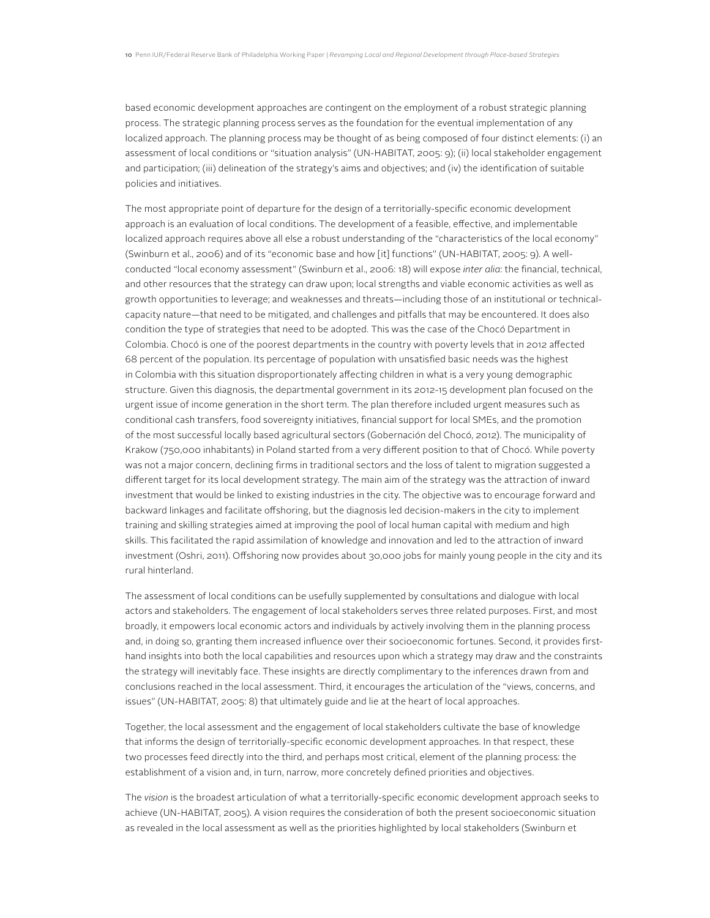based economic development approaches are contingent on the employment of a robust strategic planning process. The strategic planning process serves as the foundation for the eventual implementation of any localized approach. The planning process may be thought of as being composed of four distinct elements: (i) an assessment of local conditions or "situation analysis" (UN-HABITAT, 2005: 9); (ii) local stakeholder engagement and participation; (iii) delineation of the strategy's aims and objectives; and (iv) the identification of suitable policies and initiatives.

The most appropriate point of departure for the design of a territorially-specific economic development approach is an evaluation of local conditions. The development of a feasible, effective, and implementable localized approach requires above all else a robust understanding of the "characteristics of the local economy" (Swinburn et al., 2006) and of its "economic base and how [it] functions" (UN-HABITAT, 2005: 9). A wellconducted "local economy assessment" (Swinburn et al., 2006: 18) will expose *inter alia*: the financial, technical, and other resources that the strategy can draw upon; local strengths and viable economic activities as well as growth opportunities to leverage; and weaknesses and threats—including those of an institutional or technicalcapacity nature—that need to be mitigated, and challenges and pitfalls that may be encountered. It does also condition the type of strategies that need to be adopted. This was the case of the Chocó Department in Colombia. Chocó is one of the poorest departments in the country with poverty levels that in 2012 affected 68 percent of the population. Its percentage of population with unsatisfied basic needs was the highest in Colombia with this situation disproportionately affecting children in what is a very young demographic structure. Given this diagnosis, the departmental government in its 2012-15 development plan focused on the urgent issue of income generation in the short term. The plan therefore included urgent measures such as conditional cash transfers, food sovereignty initiatives, financial support for local SMEs, and the promotion of the most successful locally based agricultural sectors (Gobernación del Chocó, 2012). The municipality of Krakow (750,000 inhabitants) in Poland started from a very different position to that of Chocó. While poverty was not a major concern, declining firms in traditional sectors and the loss of talent to migration suggested a different target for its local development strategy. The main aim of the strategy was the attraction of inward investment that would be linked to existing industries in the city. The objective was to encourage forward and backward linkages and facilitate offshoring, but the diagnosis led decision-makers in the city to implement training and skilling strategies aimed at improving the pool of local human capital with medium and high skills. This facilitated the rapid assimilation of knowledge and innovation and led to the attraction of inward investment (Oshri, 2011). Offshoring now provides about 30,000 jobs for mainly young people in the city and its rural hinterland.

The assessment of local conditions can be usefully supplemented by consultations and dialogue with local actors and stakeholders. The engagement of local stakeholders serves three related purposes. First, and most broadly, it empowers local economic actors and individuals by actively involving them in the planning process and, in doing so, granting them increased influence over their socioeconomic fortunes. Second, it provides firsthand insights into both the local capabilities and resources upon which a strategy may draw and the constraints the strategy will inevitably face. These insights are directly complimentary to the inferences drawn from and conclusions reached in the local assessment. Third, it encourages the articulation of the "views, concerns, and issues" (UN-HABITAT, 2005: 8) that ultimately guide and lie at the heart of local approaches.

Together, the local assessment and the engagement of local stakeholders cultivate the base of knowledge that informs the design of territorially-specific economic development approaches. In that respect, these two processes feed directly into the third, and perhaps most critical, element of the planning process: the establishment of a vision and, in turn, narrow, more concretely defined priorities and objectives.

The *vision* is the broadest articulation of what a territorially-specific economic development approach seeks to achieve (UN-HABITAT, 2005). A vision requires the consideration of both the present socioeconomic situation as revealed in the local assessment as well as the priorities highlighted by local stakeholders (Swinburn et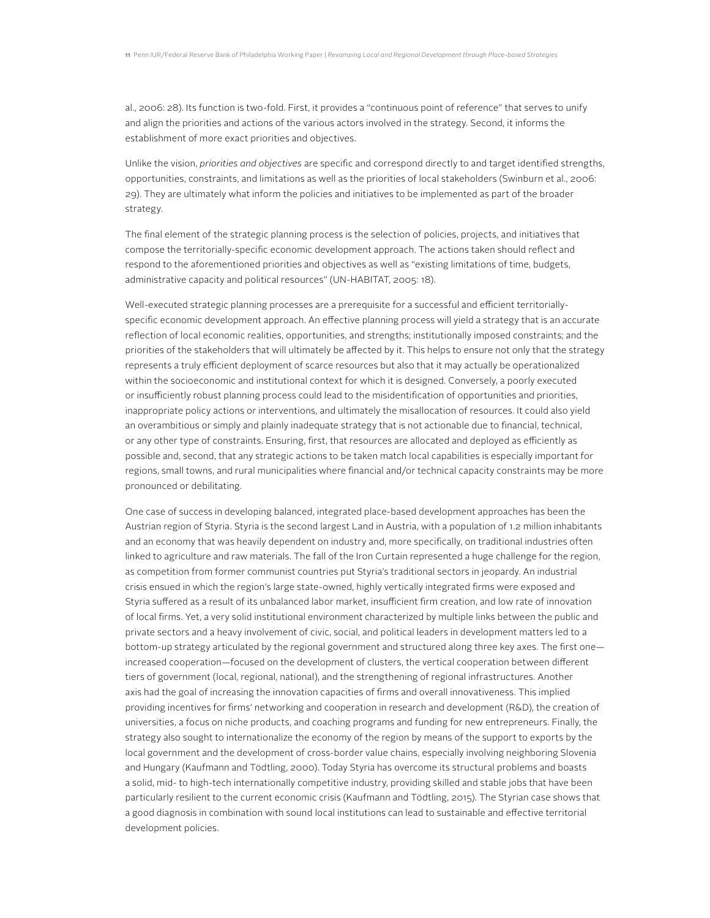al., 2006: 28). Its function is two-fold. First, it provides a "continuous point of reference" that serves to unify and align the priorities and actions of the various actors involved in the strategy. Second, it informs the establishment of more exact priorities and objectives.

Unlike the vision, *priorities and objectives* are specific and correspond directly to and target identified strengths, opportunities, constraints, and limitations as well as the priorities of local stakeholders (Swinburn et al., 2006: 29). They are ultimately what inform the policies and initiatives to be implemented as part of the broader strategy.

The final element of the strategic planning process is the selection of policies, projects, and initiatives that compose the territorially-specific economic development approach. The actions taken should reflect and respond to the aforementioned priorities and objectives as well as "existing limitations of time, budgets, administrative capacity and political resources" (UN-HABITAT, 2005: 18).

Well-executed strategic planning processes are a prerequisite for a successful and efficient territoriallyspecific economic development approach. An effective planning process will yield a strategy that is an accurate reflection of local economic realities, opportunities, and strengths; institutionally imposed constraints; and the priorities of the stakeholders that will ultimately be affected by it. This helps to ensure not only that the strategy represents a truly efficient deployment of scarce resources but also that it may actually be operationalized within the socioeconomic and institutional context for which it is designed. Conversely, a poorly executed or insufficiently robust planning process could lead to the misidentification of opportunities and priorities, inappropriate policy actions or interventions, and ultimately the misallocation of resources. It could also yield an overambitious or simply and plainly inadequate strategy that is not actionable due to financial, technical, or any other type of constraints. Ensuring, first, that resources are allocated and deployed as efficiently as possible and, second, that any strategic actions to be taken match local capabilities is especially important for regions, small towns, and rural municipalities where financial and/or technical capacity constraints may be more pronounced or debilitating.

One case of success in developing balanced, integrated place-based development approaches has been the Austrian region of Styria. Styria is the second largest Land in Austria, with a population of 1.2 million inhabitants and an economy that was heavily dependent on industry and, more specifically, on traditional industries often linked to agriculture and raw materials. The fall of the Iron Curtain represented a huge challenge for the region, as competition from former communist countries put Styria's traditional sectors in jeopardy. An industrial crisis ensued in which the region's large state-owned, highly vertically integrated firms were exposed and Styria suffered as a result of its unbalanced labor market, insufficient firm creation, and low rate of innovation of local firms. Yet, a very solid institutional environment characterized by multiple links between the public and private sectors and a heavy involvement of civic, social, and political leaders in development matters led to a bottom-up strategy articulated by the regional government and structured along three key axes. The first one increased cooperation—focused on the development of clusters, the vertical cooperation between different tiers of government (local, regional, national), and the strengthening of regional infrastructures. Another axis had the goal of increasing the innovation capacities of firms and overall innovativeness. This implied providing incentives for firms' networking and cooperation in research and development (R&D), the creation of universities, a focus on niche products, and coaching programs and funding for new entrepreneurs. Finally, the strategy also sought to internationalize the economy of the region by means of the support to exports by the local government and the development of cross-border value chains, especially involving neighboring Slovenia and Hungary (Kaufmann and Tödtling, 2000). Today Styria has overcome its structural problems and boasts a solid, mid- to high-tech internationally competitive industry, providing skilled and stable jobs that have been particularly resilient to the current economic crisis (Kaufmann and Tödtling, 2015). The Styrian case shows that a good diagnosis in combination with sound local institutions can lead to sustainable and effective territorial development policies.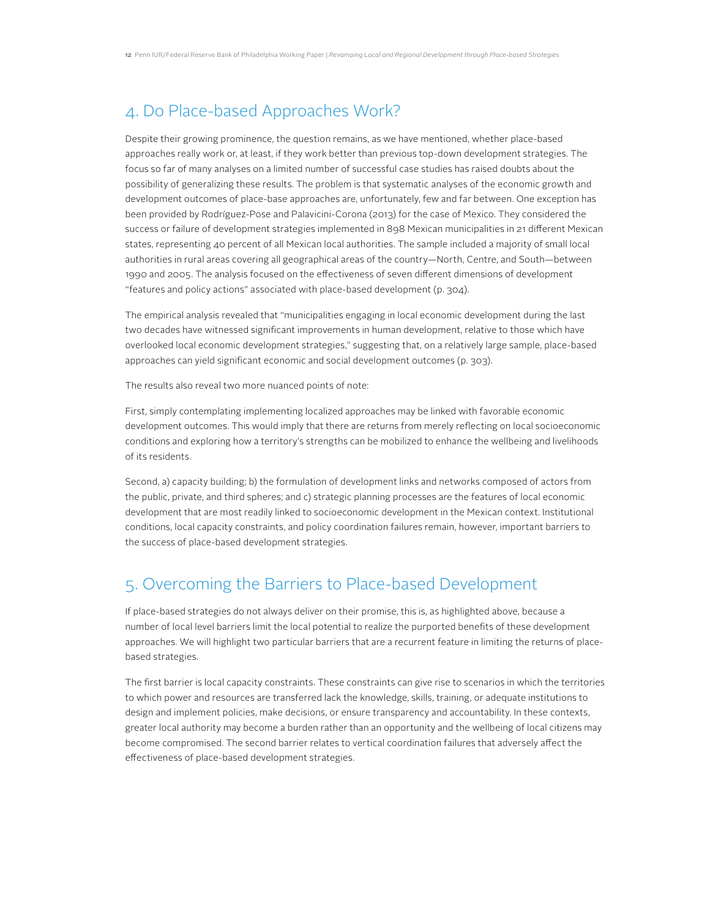## 4. Do Place-based Approaches Work?

Despite their growing prominence, the question remains, as we have mentioned, whether place-based approaches really work or, at least, if they work better than previous top-down development strategies. The focus so far of many analyses on a limited number of successful case studies has raised doubts about the possibility of generalizing these results. The problem is that systematic analyses of the economic growth and development outcomes of place-base approaches are, unfortunately, few and far between. One exception has been provided by Rodríguez-Pose and Palavicini-Corona (2013) for the case of Mexico. They considered the success or failure of development strategies implemented in 898 Mexican municipalities in 21 different Mexican states, representing 40 percent of all Mexican local authorities. The sample included a majority of small local authorities in rural areas covering all geographical areas of the country—North, Centre, and South—between 1990 and 2005. The analysis focused on the effectiveness of seven different dimensions of development "features and policy actions" associated with place-based development (p. 304).

The empirical analysis revealed that "municipalities engaging in local economic development during the last two decades have witnessed significant improvements in human development, relative to those which have overlooked local economic development strategies," suggesting that, on a relatively large sample, place-based approaches can yield significant economic and social development outcomes (p. 303).

The results also reveal two more nuanced points of note:

First, simply contemplating implementing localized approaches may be linked with favorable economic development outcomes. This would imply that there are returns from merely reflecting on local socioeconomic conditions and exploring how a territory's strengths can be mobilized to enhance the wellbeing and livelihoods of its residents.

Second, a) capacity building; b) the formulation of development links and networks composed of actors from the public, private, and third spheres; and c) strategic planning processes are the features of local economic development that are most readily linked to socioeconomic development in the Mexican context. Institutional conditions, local capacity constraints, and policy coordination failures remain, however, important barriers to the success of place-based development strategies.

## 5. Overcoming the Barriers to Place-based Development

If place-based strategies do not always deliver on their promise, this is, as highlighted above, because a number of local level barriers limit the local potential to realize the purported benefits of these development approaches. We will highlight two particular barriers that are a recurrent feature in limiting the returns of placebased strategies.

The first barrier is local capacity constraints. These constraints can give rise to scenarios in which the territories to which power and resources are transferred lack the knowledge, skills, training, or adequate institutions to design and implement policies, make decisions, or ensure transparency and accountability. In these contexts, greater local authority may become a burden rather than an opportunity and the wellbeing of local citizens may become compromised. The second barrier relates to vertical coordination failures that adversely affect the effectiveness of place-based development strategies.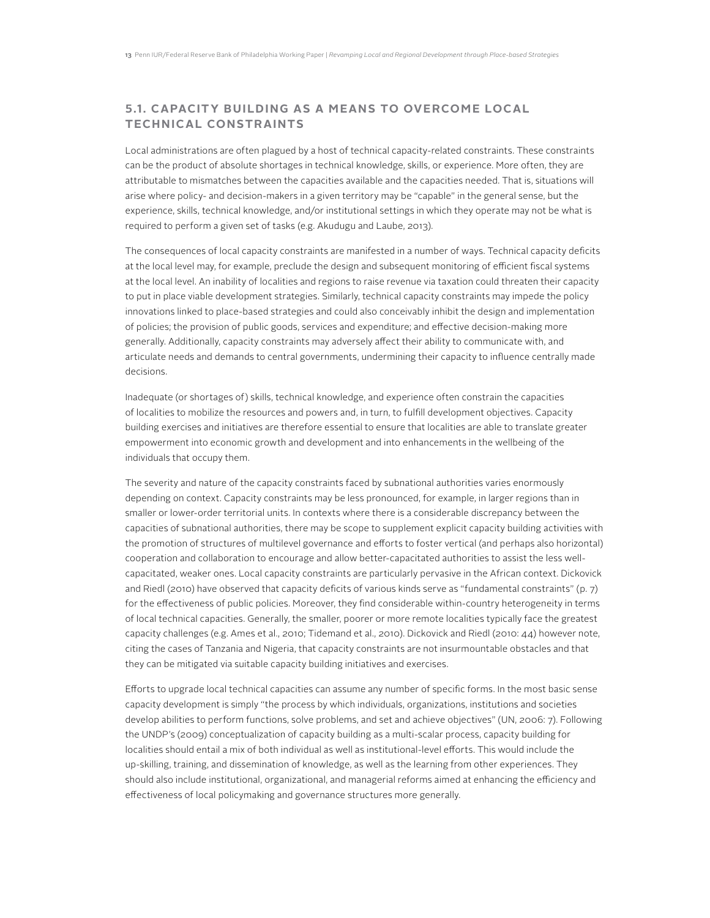#### **5.1. Capacity Building as a Means to Overcome Local Technical Constraints**

Local administrations are often plagued by a host of technical capacity-related constraints. These constraints can be the product of absolute shortages in technical knowledge, skills, or experience. More often, they are attributable to mismatches between the capacities available and the capacities needed. That is, situations will arise where policy- and decision-makers in a given territory may be "capable" in the general sense, but the experience, skills, technical knowledge, and/or institutional settings in which they operate may not be what is required to perform a given set of tasks (e.g. Akudugu and Laube, 2013).

The consequences of local capacity constraints are manifested in a number of ways. Technical capacity deficits at the local level may, for example, preclude the design and subsequent monitoring of efficient fiscal systems at the local level. An inability of localities and regions to raise revenue via taxation could threaten their capacity to put in place viable development strategies. Similarly, technical capacity constraints may impede the policy innovations linked to place-based strategies and could also conceivably inhibit the design and implementation of policies; the provision of public goods, services and expenditure; and effective decision-making more generally. Additionally, capacity constraints may adversely affect their ability to communicate with, and articulate needs and demands to central governments, undermining their capacity to influence centrally made decisions.

Inadequate (or shortages of) skills, technical knowledge, and experience often constrain the capacities of localities to mobilize the resources and powers and, in turn, to fulfill development objectives. Capacity building exercises and initiatives are therefore essential to ensure that localities are able to translate greater empowerment into economic growth and development and into enhancements in the wellbeing of the individuals that occupy them.

The severity and nature of the capacity constraints faced by subnational authorities varies enormously depending on context. Capacity constraints may be less pronounced, for example, in larger regions than in smaller or lower-order territorial units. In contexts where there is a considerable discrepancy between the capacities of subnational authorities, there may be scope to supplement explicit capacity building activities with the promotion of structures of multilevel governance and efforts to foster vertical (and perhaps also horizontal) cooperation and collaboration to encourage and allow better-capacitated authorities to assist the less wellcapacitated, weaker ones. Local capacity constraints are particularly pervasive in the African context. Dickovick and Riedl (2010) have observed that capacity deficits of various kinds serve as "fundamental constraints" (p. 7) for the effectiveness of public policies. Moreover, they find considerable within-country heterogeneity in terms of local technical capacities. Generally, the smaller, poorer or more remote localities typically face the greatest capacity challenges (e.g. Ames et al., 2010; Tidemand et al., 2010). Dickovick and Riedl (2010: 44) however note, citing the cases of Tanzania and Nigeria, that capacity constraints are not insurmountable obstacles and that they can be mitigated via suitable capacity building initiatives and exercises.

Efforts to upgrade local technical capacities can assume any number of specific forms. In the most basic sense capacity development is simply "the process by which individuals, organizations, institutions and societies develop abilities to perform functions, solve problems, and set and achieve objectives" (UN, 2006: 7). Following the UNDP's (2009) conceptualization of capacity building as a multi-scalar process, capacity building for localities should entail a mix of both individual as well as institutional-level efforts. This would include the up-skilling, training, and dissemination of knowledge, as well as the learning from other experiences. They should also include institutional, organizational, and managerial reforms aimed at enhancing the efficiency and effectiveness of local policymaking and governance structures more generally.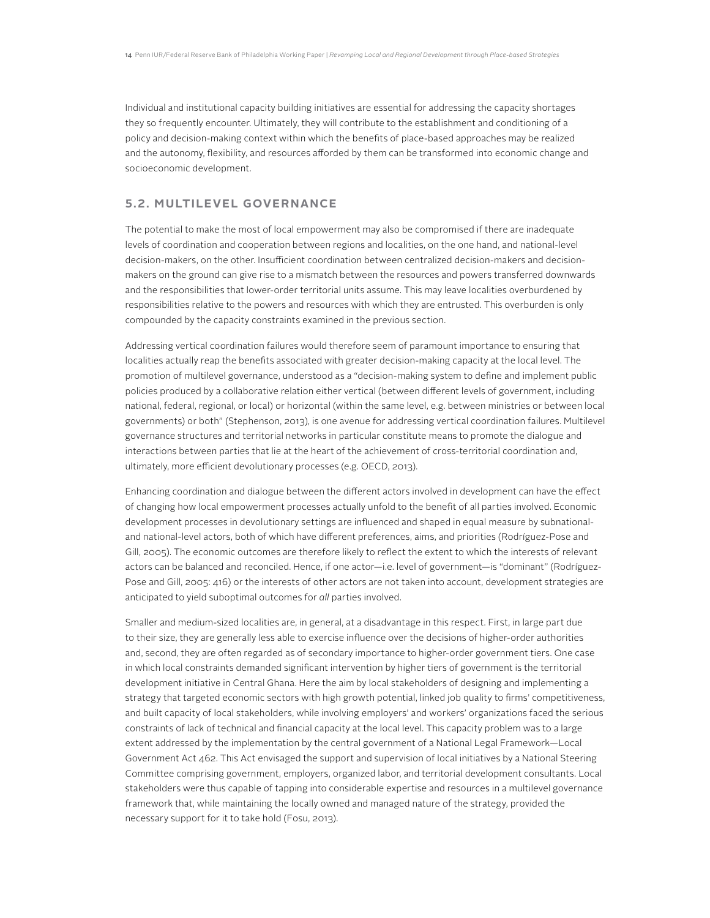Individual and institutional capacity building initiatives are essential for addressing the capacity shortages they so frequently encounter. Ultimately, they will contribute to the establishment and conditioning of a policy and decision-making context within which the benefits of place-based approaches may be realized and the autonomy, flexibility, and resources afforded by them can be transformed into economic change and socioeconomic development.

#### **5.2. Multilevel Governance**

The potential to make the most of local empowerment may also be compromised if there are inadequate levels of coordination and cooperation between regions and localities, on the one hand, and national-level decision-makers, on the other. Insufficient coordination between centralized decision-makers and decisionmakers on the ground can give rise to a mismatch between the resources and powers transferred downwards and the responsibilities that lower-order territorial units assume. This may leave localities overburdened by responsibilities relative to the powers and resources with which they are entrusted. This overburden is only compounded by the capacity constraints examined in the previous section.

Addressing vertical coordination failures would therefore seem of paramount importance to ensuring that localities actually reap the benefits associated with greater decision-making capacity at the local level. The promotion of multilevel governance, understood as a "decision-making system to define and implement public policies produced by a collaborative relation either vertical (between different levels of government, including national, federal, regional, or local) or horizontal (within the same level, e.g. between ministries or between local governments) or both" (Stephenson, 2013), is one avenue for addressing vertical coordination failures. Multilevel governance structures and territorial networks in particular constitute means to promote the dialogue and interactions between parties that lie at the heart of the achievement of cross-territorial coordination and, ultimately, more efficient devolutionary processes (e.g. OECD, 2013).

Enhancing coordination and dialogue between the different actors involved in development can have the effect of changing how local empowerment processes actually unfold to the benefit of all parties involved. Economic development processes in devolutionary settings are influenced and shaped in equal measure by subnationaland national-level actors, both of which have different preferences, aims, and priorities (Rodríguez-Pose and Gill, 2005). The economic outcomes are therefore likely to reflect the extent to which the interests of relevant actors can be balanced and reconciled. Hence, if one actor—i.e. level of government—is "dominant" (Rodríguez-Pose and Gill, 2005: 416) or the interests of other actors are not taken into account, development strategies are anticipated to yield suboptimal outcomes for *all* parties involved.

Smaller and medium-sized localities are, in general, at a disadvantage in this respect. First, in large part due to their size, they are generally less able to exercise influence over the decisions of higher-order authorities and, second, they are often regarded as of secondary importance to higher-order government tiers. One case in which local constraints demanded significant intervention by higher tiers of government is the territorial development initiative in Central Ghana. Here the aim by local stakeholders of designing and implementing a strategy that targeted economic sectors with high growth potential, linked job quality to firms' competitiveness, and built capacity of local stakeholders, while involving employers' and workers' organizations faced the serious constraints of lack of technical and financial capacity at the local level. This capacity problem was to a large extent addressed by the implementation by the central government of a National Legal Framework—Local Government Act 462. This Act envisaged the support and supervision of local initiatives by a National Steering Committee comprising government, employers, organized labor, and territorial development consultants. Local stakeholders were thus capable of tapping into considerable expertise and resources in a multilevel governance framework that, while maintaining the locally owned and managed nature of the strategy, provided the necessary support for it to take hold (Fosu, 2013).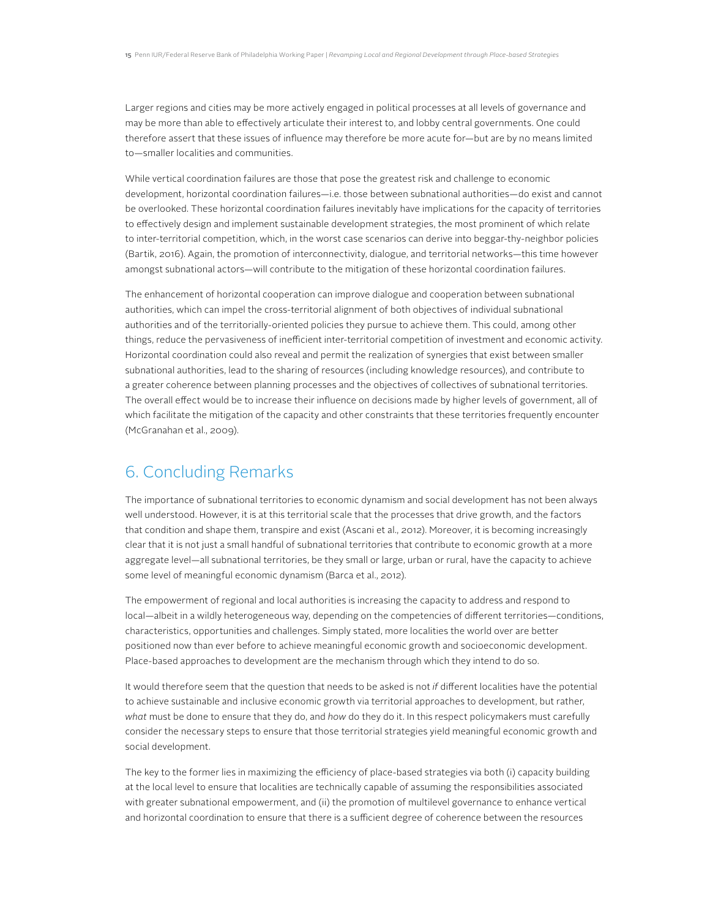Larger regions and cities may be more actively engaged in political processes at all levels of governance and may be more than able to effectively articulate their interest to, and lobby central governments. One could therefore assert that these issues of influence may therefore be more acute for—but are by no means limited to—smaller localities and communities.

While vertical coordination failures are those that pose the greatest risk and challenge to economic development, horizontal coordination failures—i.e. those between subnational authorities—do exist and cannot be overlooked. These horizontal coordination failures inevitably have implications for the capacity of territories to effectively design and implement sustainable development strategies, the most prominent of which relate to inter-territorial competition, which, in the worst case scenarios can derive into beggar-thy-neighbor policies (Bartik, 2016). Again, the promotion of interconnectivity, dialogue, and territorial networks—this time however amongst subnational actors—will contribute to the mitigation of these horizontal coordination failures.

The enhancement of horizontal cooperation can improve dialogue and cooperation between subnational authorities, which can impel the cross-territorial alignment of both objectives of individual subnational authorities and of the territorially-oriented policies they pursue to achieve them. This could, among other things, reduce the pervasiveness of inefficient inter-territorial competition of investment and economic activity. Horizontal coordination could also reveal and permit the realization of synergies that exist between smaller subnational authorities, lead to the sharing of resources (including knowledge resources), and contribute to a greater coherence between planning processes and the objectives of collectives of subnational territories. The overall effect would be to increase their influence on decisions made by higher levels of government, all of which facilitate the mitigation of the capacity and other constraints that these territories frequently encounter (McGranahan et al., 2009).

## 6. Concluding Remarks

The importance of subnational territories to economic dynamism and social development has not been always well understood. However, it is at this territorial scale that the processes that drive growth, and the factors that condition and shape them, transpire and exist (Ascani et al., 2012). Moreover, it is becoming increasingly clear that it is not just a small handful of subnational territories that contribute to economic growth at a more aggregate level—all subnational territories, be they small or large, urban or rural, have the capacity to achieve some level of meaningful economic dynamism (Barca et al., 2012).

The empowerment of regional and local authorities is increasing the capacity to address and respond to local—albeit in a wildly heterogeneous way, depending on the competencies of different territories—conditions, characteristics, opportunities and challenges. Simply stated, more localities the world over are better positioned now than ever before to achieve meaningful economic growth and socioeconomic development. Place-based approaches to development are the mechanism through which they intend to do so.

It would therefore seem that the question that needs to be asked is not *if* different localities have the potential to achieve sustainable and inclusive economic growth via territorial approaches to development, but rather, *what* must be done to ensure that they do, and *how* do they do it. In this respect policymakers must carefully consider the necessary steps to ensure that those territorial strategies yield meaningful economic growth and social development.

The key to the former lies in maximizing the efficiency of place-based strategies via both (i) capacity building at the local level to ensure that localities are technically capable of assuming the responsibilities associated with greater subnational empowerment, and (ii) the promotion of multilevel governance to enhance vertical and horizontal coordination to ensure that there is a sufficient degree of coherence between the resources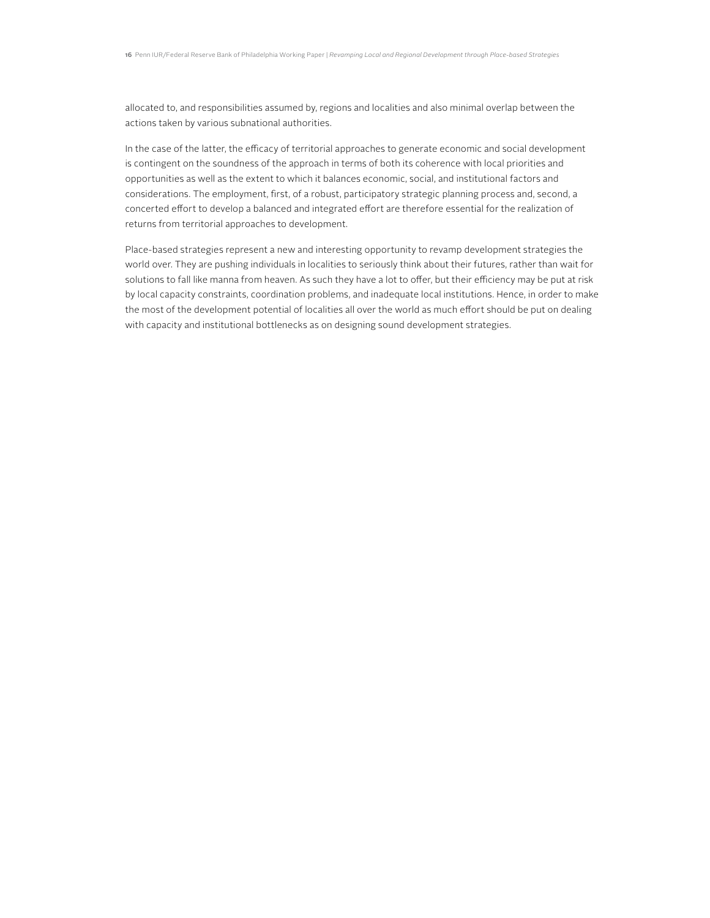allocated to, and responsibilities assumed by, regions and localities and also minimal overlap between the actions taken by various subnational authorities.

In the case of the latter, the efficacy of territorial approaches to generate economic and social development is contingent on the soundness of the approach in terms of both its coherence with local priorities and opportunities as well as the extent to which it balances economic, social, and institutional factors and considerations. The employment, first, of a robust, participatory strategic planning process and, second, a concerted effort to develop a balanced and integrated effort are therefore essential for the realization of returns from territorial approaches to development.

Place-based strategies represent a new and interesting opportunity to revamp development strategies the world over. They are pushing individuals in localities to seriously think about their futures, rather than wait for solutions to fall like manna from heaven. As such they have a lot to offer, but their efficiency may be put at risk by local capacity constraints, coordination problems, and inadequate local institutions. Hence, in order to make the most of the development potential of localities all over the world as much effort should be put on dealing with capacity and institutional bottlenecks as on designing sound development strategies.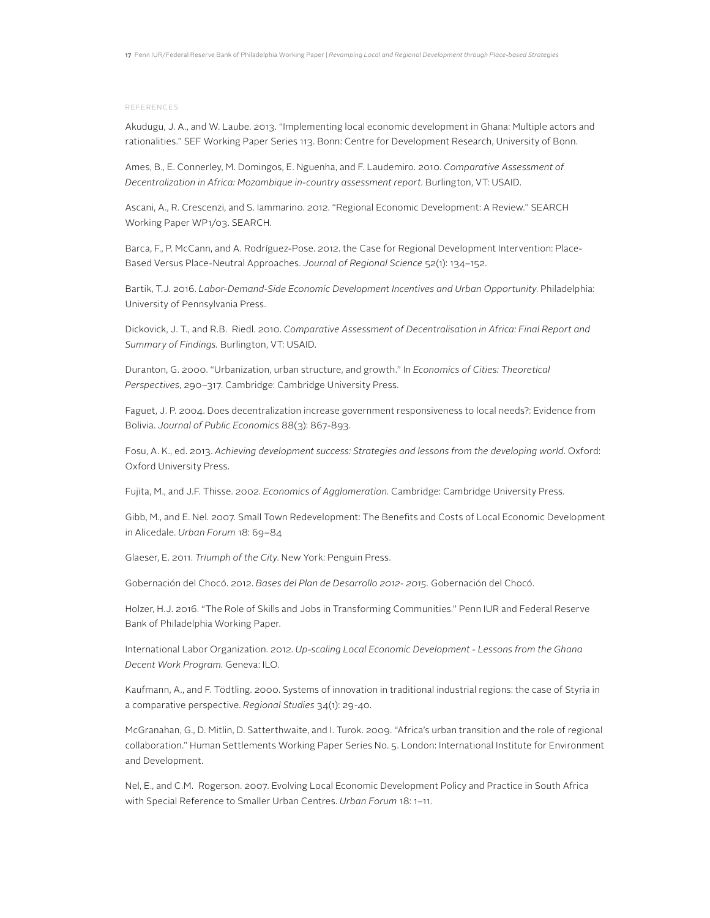#### References

Akudugu, J. A., and W. Laube. 2013. "Implementing local economic development in Ghana: Multiple actors and rationalities." SEF Working Paper Series 113. Bonn: Centre for Development Research, University of Bonn.

Ames, B., E. Connerley, M. Domingos, E. Nguenha, and F. Laudemiro. 2010. *Comparative Assessment of Decentralization in Africa: Mozambique in-country assessment report.* Burlington, VT: USAID.

Ascani, A., R. Crescenzi, and S. Iammarino. 2012. "Regional Economic Development: A Review." SEARCH Working Paper WP1/03. SEARCH.

Barca, F., P. McCann, and A. Rodríguez-Pose. 2012. the Case for Regional Development Intervention: Place-Based Versus Place-Neutral Approaches. *Journal of Regional Science* 52(1): 134–152.

Bartik, T.J. 2016. *Labor-Demand-Side Economic Development Incentives and Urban Opportunity*. Philadelphia: University of Pennsylvania Press.

Dickovick, J. T., and R.B. Riedl. 2010. *Comparative Assessment of Decentralisation in Africa: Final Report and Summary of Findings.* Burlington, VT: USAID.

Duranton, G. 2000. "Urbanization, urban structure, and growth." In *Economics of Cities: Theoretical Perspectives*, 290–317. Cambridge: Cambridge University Press.

Faguet, J. P. 2004. Does decentralization increase government responsiveness to local needs?: Evidence from Bolivia. *Journal of Public Economics* 88(3): 867-893.

Fosu, A. K., ed. 2013. *Achieving development success: Strategies and lessons from the developing world*. Oxford: Oxford University Press.

Fujita, M., and J.F. Thisse. 2002. *Economics of Agglomeration*. Cambridge: Cambridge University Press.

Gibb, M., and E. Nel. 2007. Small Town Redevelopment: The Benefits and Costs of Local Economic Development in Alicedale. *Urban Forum* 18: 69–84

Glaeser, E. 2011. *Triumph of the City*. New York: Penguin Press.

Gobernación del Chocó. 2012. *Bases del Plan de Desarrollo 2012- 2015.* Gobernación del Chocó.

Holzer, H.J. 2016. "The Role of Skills and Jobs in Transforming Communities." Penn IUR and Federal Reserve Bank of Philadelphia Working Paper.

International Labor Organization. 2012. *Up-scaling Local Economic Development - Lessons from the Ghana Decent Work Program.* Geneva: ILO.

Kaufmann, A., and F. Tödtling. 2000. Systems of innovation in traditional industrial regions: the case of Styria in a comparative perspective. *Regional Studies* 34(1): 29-40.

McGranahan, G., D. Mitlin, D. Satterthwaite, and I. Turok. 2009. "Africa's urban transition and the role of regional collaboration." Human Settlements Working Paper Series No. 5. London: International Institute for Environment and Development.

Nel, E., and C.M. Rogerson. 2007. Evolving Local Economic Development Policy and Practice in South Africa with Special Reference to Smaller Urban Centres. *Urban Forum* 18: 1–11.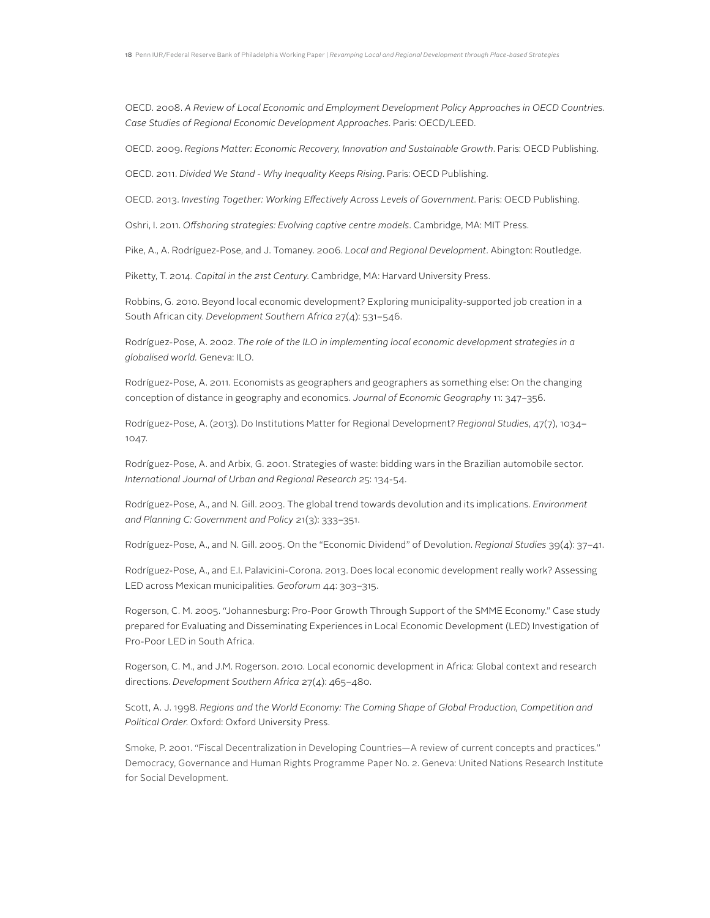OECD. 2008. *A Review of Local Economic and Employment Development Policy Approaches in OECD Countries. Case Studies of Regional Economic Development Approaches*. Paris: OECD/LEED.

OECD. 2009. *Regions Matter: Economic Recovery, Innovation and Sustainable Growth*. Paris: OECD Publishing.

OECD. 2011. *Divided We Stand - Why Inequality Keeps Rising*. Paris: OECD Publishing.

OECD. 2013. *Investing Together: Working Effectively Across Levels of Government*. Paris: OECD Publishing.

Oshri, I. 2011. *Offshoring strategies: Evolving captive centre models*. Cambridge, MA: MIT Press.

Pike, A., A. Rodríguez-Pose, and J. Tomaney. 2006. *Local and Regional Development*. Abington: Routledge.

Piketty, T. 2014. *Capital in the 21st Century*. Cambridge, MA: Harvard University Press.

Robbins, G. 2010. Beyond local economic development? Exploring municipality-supported job creation in a South African city. *Development Southern Africa* 27(4): 531–546.

Rodríguez-Pose, A. 2002. *The role of the ILO in implementing local economic development strategies in a globalised world.* Geneva: ILO.

Rodríguez-Pose, A. 2011. Economists as geographers and geographers as something else: On the changing conception of distance in geography and economics. *Journal of Economic Geography* 11: 347–356.

Rodríguez-Pose, A. (2013). Do Institutions Matter for Regional Development? *Regional Studies*, 47(7), 1034– 1047.

Rodríguez-Pose, A. and Arbix, G. 2001. Strategies of waste: bidding wars in the Brazilian automobile sector. *International Journal of Urban and Regional Research* 25: 134-54.

Rodríguez-Pose, A., and N. Gill. 2003. The global trend towards devolution and its implications. *Environment and Planning C: Government and Policy* 21(3): 333–351.

Rodríguez-Pose, A., and N. Gill. 2005. On the "Economic Dividend" of Devolution. *Regional Studies* 39(4): 37–41.

Rodríguez-Pose, A., and E.I. Palavicini-Corona. 2013. Does local economic development really work? Assessing LED across Mexican municipalities. *Geoforum* 44: 303–315.

Rogerson, C. M. 2005. "Johannesburg: Pro-Poor Growth Through Support of the SMME Economy." Case study prepared for Evaluating and Disseminating Experiences in Local Economic Development (LED) Investigation of Pro-Poor LED in South Africa.

Rogerson, C. M., and J.M. Rogerson. 2010. Local economic development in Africa: Global context and research directions. *Development Southern Africa* 27(4): 465–480.

Scott, A. J. 1998. *Regions and the World Economy: The Coming Shape of Global Production, Competition and Political Order*. Oxford: Oxford University Press.

Smoke, P. 2001. "Fiscal Decentralization in Developing Countries—A review of current concepts and practices." Democracy, Governance and Human Rights Programme Paper No. 2. Geneva: United Nations Research Institute for Social Development.